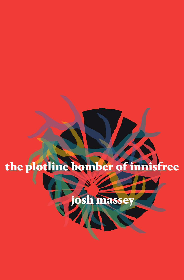

josh mass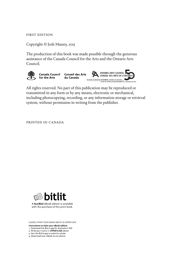FIRST EDITION

Copyright © Josh Massey, 2015

The production of this book was made possible through the generous assistance of the Canada Council for the Arts and the Ontario Arts Council.



All rights reserved. No part of this publication may be reproduced or transmitted in any form or by any means, electronic or mechanical, including photocopying, recording, or any information storage or retrieval system, without permission in writing from the publisher.

PRINTED IN CANADA



A bundled eBook edition is available with the purchase of this print book.

CLEARLY PRINT YOUR NAME ABOVE IN UPPER CASE

Instructions to claim your eBook edition:

1. Download the BitLit app for Android or iOS<br>2. Write your name in UPPER CASE above

3. Use the BitLit app to submit a photo

4. Download your eBook to any device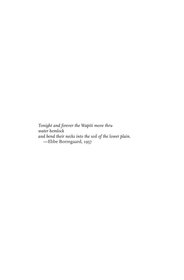*Tonight and forever the Wapiti move thru water hemlock and bend their necks into the soil of the lower plain.* —Ebbe Borregaard, 1957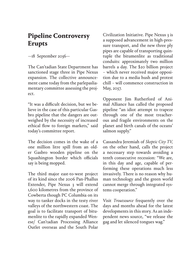## **Pipeline Controversy Erupts**

—18 September 2036—

The Can'tadian State Department has sanctioned stage three in Pipe Nexus expansion. The collective announcement came today from the parlepasliamentary committee assessing the project.

"It was a difcult decision, but we believe in the case of this particular Gasbro pipeline that the dangers are outweighed by the necessity of increased ethical fow to foreign markets," said today's committee report.

The decision comes in the wake of a one million litre spill from an older Gasbro wooden pipeline on the Squashington border which officials say is being mopped.

The third major east-to-west project of its kind since the 2006 Pan-Phallus Extender, Pipe Nexus 3 will extend 1,600 kilometres from the province of Cowberta though PC Columbia on its way to tanker docks in the testy river valleys of the northwestern coast. The goal is to facilitate transport of bitumenlite to the rapidly expanded Wenese/ Can'tadian Processing Alliance Outlet overseas and the South Polar

Civilization Initiative. Pipe Nexus 3 is a supposed advancement in high-pressure transport, and the new three ply pipes are capable of transporting quintuple the bitumenlite as traditional conduits: approximately two million barrels a day. The \$20 billion project – which never received major opposition due to a media hush and protest chill – will commence construction in May, 2037.

Opponent Jim Rutherford of Animal Alliance has called the proposed pipeline "an idiot attempt to trapeze through one of the most treacherous and fragile environments on the planet and birth canals of the oceans' salmon supply."

Cassandra Jeremiah of *Skeptic City TV,* on the other hand, calls the project a necessary step towards avoiding a tenth consecutive recession: "We are, in this day and age, capable of performing these operations much less invasively. There is no reason why human technology and the green world cannot merge through integrated systems cooperation."

Visit *Troutsource* frequently over the days and months ahead for the latest developments in this story. As an independent news source, "we release the gag and let silenced tongues wag."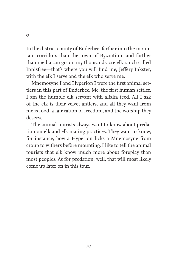In the district county of Enderbee, farther into the mountain corridors than the town of Byzantium and farther than media can go, on my thousand-acre elk ranch called Innisfree—that's where you will find me, Jeffery Inkster, with the elk I serve and the elk who serve me.

Mnemosyne I and Hyperion I were the first animal settlers in this part of Enderbee. Me, the first human settler, I am the humble elk servant with alfalfa feed. All I ask of the elk is their velvet antlers, and all they want from me is food, a fair ration of freedom, and the worship they deserve.

The animal tourists always want to know about predation on elk and elk mating practices. They want to know, for instance, how a Hyperion licks a Mnemosyne from croup to withers before mounting. I like to tell the animal tourists that elk know much more about foreplay than most peoples. As for predation, well, that will most likely come up later on in this tour.

10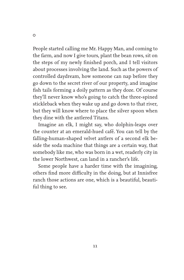People started calling me Mr. Happy Man, and coming to the farm, and now I give tours, plant the bean rows, sit on the steps of my newly finished porch, and I tell visitors about processes involving the land. Such as the powers of controlled daydream, how someone can nap before they go down to the secret river of our property, and imagine fish tails forming a doily pattern as they doze. Of course they'll never know who's going to catch the three-spined stickleback when they wake up and go down to that river, but they will know where to place the silver spoon when they dine with the antlered Titans.

Imagine an elk, I might say, who dolphin-leaps over the counter at an emerald-hued café. You can tell by the falling-human-shaped velvet antlers of a second elk beside the soda machine that things are a certain way, that somebody like me, who was born in a wet, readerly city in the lower Northwest, can land in a rancher's life.

Some people have a harder time with the imagining, others find more difficulty in the doing, but at Innisfree ranch those actions are one, which is a beautiful, beautiful thing to see.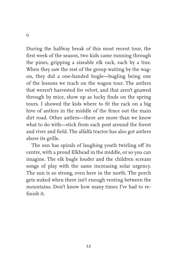During the halfway break of this most recent tour, the first week of the season, two kids came running through the pines, gripping a sizeable elk rack, each by a tine. When they saw the rest of the group waiting by the wagon, they did a one-handed bugle—bugling being one of the lessons we teach on the wagon tour. The antlers that weren't harvested for velvet, and that aren't gnawed through by mice, show up as lucky finds on the spring tours. I showed the kids where to fit the rack on a big hive of antlers in the middle of the fence out the main dirt road. Other antlers—there are more than we know what to do with—stick from each post around the forest and river and field. The alfalfa tractor has also got antlers above its grille.

The sun has spirals of laughing youth twirling off its centre, with a proud Elkhead in the middle, or so you can imagine. The elk bugle louder and the children scream songs of play with the same increasing solar urgency. The sun is so strong, even here in the north. The porch gets nuked when there isn't enough venting between the mountains. Don't know how many times I've had to refinish it.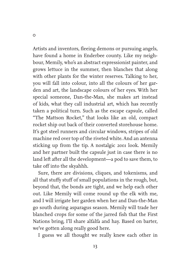Artists and inventors, fleeing demons or pursuing angels, have found a home in Enderbee county. Like my neighbour, Memily, who's an abstract expressionist painter, and grows lettuce in the summer, then blanches that along with other plants for the winter reserves. Talking to her, you will fall into colour, into all the colours of her garden and art, the landscape colours of her eyes. With her special someone, Dan-the-Man, she makes art instead of kids, what they call industrial art, which has recently taken a political turn. Such as the escape capsule, called "The Mattson Rocket," that looks like an old, compact rocket ship out back of their converted storehouse home. It's got steel runners and circular windows, stripes of old machine red over top of the riveted white. And an antenna sticking up from the tip. A nostalgic *2001* look. Memily and her partner built the capsule just in case there is no land left after all the development—a pod to save them, to take off into the skyahhh.

Sure, there are divisions, cliques, and tokenisms, and all that stuffy stuff of small populations in the rough, but, beyond that, the bonds are tight, and we help each other out. Like Memily will come round up the elk with me, and I will irrigate her garden when her and Dan-the-Man go south during asparagus season. Memily will trade her blanched crops for some of the jarred fish that the First Nations bring, I'll share alfalfa and hay. Based on barter, we've gotten along really good here.

I guess we all thought we really knew each other in